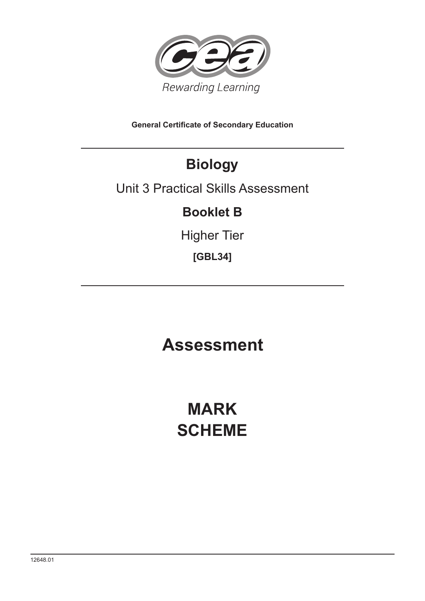

**General Certificate of Secondary Education**

## **Biology**

### Unit 3 Practical Skills Assessment

### **Booklet B**

Higher Tier

**[GBL34]**

**Assessment**

# **MARK SCHEME**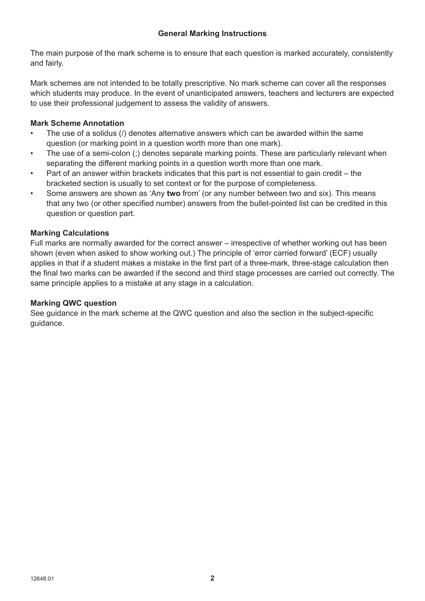The main purpose of the mark scheme is to ensure that each question is marked accurately, consistently and fairly.

Mark schemes are not intended to be totally prescriptive. No mark scheme can cover all the responses which students may produce. In the event of unanticipated answers, teachers and lecturers are expected to use their professional judgement to assess the validity of answers.

#### **Mark Scheme Annotation**

- The use of a solidus (/) denotes alternative answers which can be awarded within the same question (or marking point in a question worth more than one mark).
- The use of a semi-colon (;) denotes separate marking points. These are particularly relevant when separating the different marking points in a question worth more than one mark.
- Part of an answer within brackets indicates that this part is not essential to gain credit the bracketed section is usually to set context or for the purpose of completeness.
- Some answers are shown as 'Any **two** from' (or any number between two and six). This means that any two (or other specified number) answers from the bullet-pointed list can be credited in this question or question part.

#### **Marking Calculations**

Full marks are normally awarded for the correct answer – irrespective of whether working out has been shown (even when asked to show working out.) The principle of 'error carried forward' (ECF) usually applies in that if a student makes a mistake in the first part of a three-mark, three-stage calculation then the final two marks can be awarded if the second and third stage processes are carried out correctly. The same principle applies to a mistake at any stage in a calculation.

#### **Marking QWC question**

See guidance in the mark scheme at the QWC question and also the section in the subject-specific guidance.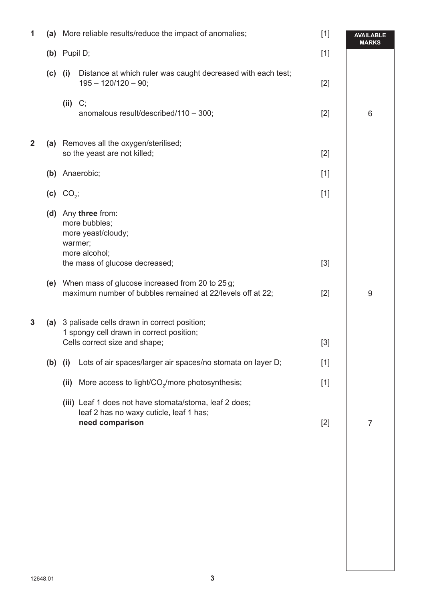| 1              |           |                | (a) More reliable results/reduce the impact of anomalies;<br>$[1]$                                                           |       | <b>AVAILABLE</b><br><b>MARKS</b> |
|----------------|-----------|----------------|------------------------------------------------------------------------------------------------------------------------------|-------|----------------------------------|
|                |           | (b) Pupil D;   |                                                                                                                              | $[1]$ |                                  |
|                | $(c)$ (i) |                | Distance at which ruler was caught decreased with each test;<br>$195 - 120/120 - 90;$                                        | $[2]$ |                                  |
|                |           | $(ii)$ C;      | anomalous result/described/110 - 300;                                                                                        | $[2]$ | 6                                |
| $\overline{2}$ |           |                | (a) Removes all the oxygen/sterilised;<br>so the yeast are not killed;                                                       | $[2]$ |                                  |
|                |           |                | (b) Anaerobic;                                                                                                               | $[1]$ |                                  |
|                |           | (c) $CO_{2}$ ; |                                                                                                                              | $[1]$ |                                  |
|                |           |                | (d) Any three from:<br>more bubbles;<br>more yeast/cloudy;<br>warmer;<br>more alcohol;                                       |       |                                  |
|                |           |                | the mass of glucose decreased;                                                                                               | $[3]$ |                                  |
|                |           |                | (e) When mass of glucose increased from 20 to 25 g;<br>maximum number of bubbles remained at 22/levels off at 22;            | $[2]$ | 9                                |
| 3              |           |                | (a) 3 palisade cells drawn in correct position;<br>1 spongy cell drawn in correct position;<br>Cells correct size and shape; | $[3]$ |                                  |
|                | $(b)$ (i) |                | Lots of air spaces/larger air spaces/no stomata on layer D;                                                                  | $[1]$ |                                  |
|                |           | (ii)           | More access to light/ $CO_2$ /more photosynthesis;                                                                           | $[1]$ |                                  |
|                |           |                | (iii) Leaf 1 does not have stomata/stoma, leaf 2 does;<br>leaf 2 has no waxy cuticle, leaf 1 has;<br>need comparison         | $[2]$ | $\overline{7}$                   |
|                |           |                |                                                                                                                              |       |                                  |
|                |           |                |                                                                                                                              |       |                                  |
|                |           |                |                                                                                                                              |       |                                  |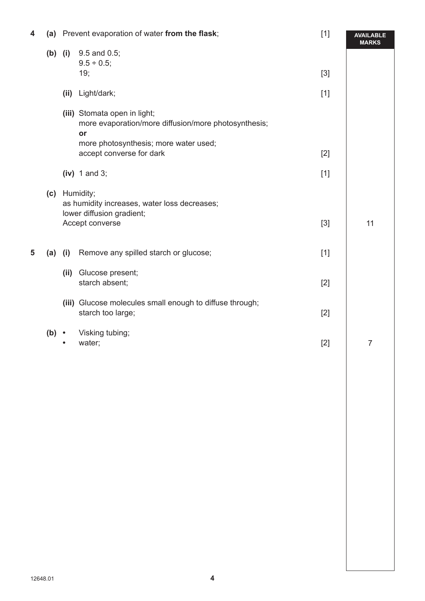| 4 |           |                                                                                            | (a) Prevent evaporation of water from the flask;                                           | $[1]$ | <b>AVAILABLE</b><br><b>MARKS</b> |
|---|-----------|--------------------------------------------------------------------------------------------|--------------------------------------------------------------------------------------------|-------|----------------------------------|
|   | $(b)$ (i) |                                                                                            | 9.5 and 0.5;<br>$9.5 \div 0.5$ ;<br>19;                                                    | $[3]$ |                                  |
|   |           |                                                                                            |                                                                                            |       |                                  |
|   |           | (ii)                                                                                       | Light/dark;                                                                                | $[1]$ |                                  |
|   |           |                                                                                            | (iii) Stomata open in light;<br>more evaporation/more diffusion/more photosynthesis;<br>or |       |                                  |
|   |           |                                                                                            | more photosynthesis; more water used;<br>accept converse for dark                          | $[2]$ |                                  |
|   |           |                                                                                            | $(iv)$ 1 and 3;                                                                            | $[1]$ |                                  |
|   |           | (c) Humidity;<br>as humidity increases, water loss decreases;<br>lower diffusion gradient; |                                                                                            |       |                                  |
|   |           |                                                                                            | Accept converse                                                                            | $[3]$ | 11                               |
| 5 | (a)       | (i)                                                                                        | Remove any spilled starch or glucose;                                                      | $[1]$ |                                  |
|   |           | (ii)                                                                                       | Glucose present;<br>starch absent;                                                         | $[2]$ |                                  |
|   |           |                                                                                            | (iii) Glucose molecules small enough to diffuse through;<br>starch too large;              | $[2]$ |                                  |
|   | $(b)$ .   |                                                                                            | Visking tubing;<br>water;                                                                  | $[2]$ | $\overline{7}$                   |
|   |           |                                                                                            |                                                                                            |       |                                  |
|   |           |                                                                                            |                                                                                            |       |                                  |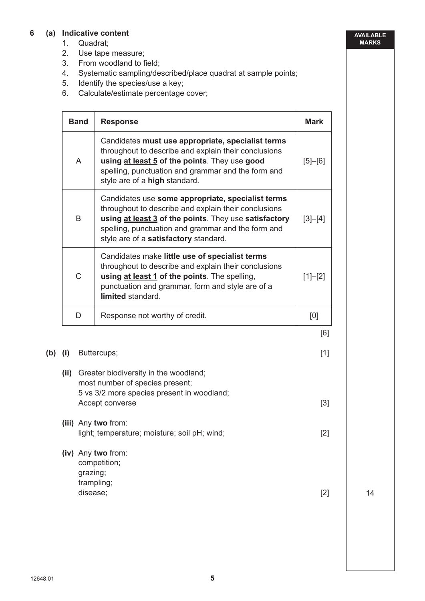#### **6 (a) Indicative content**

- 1. Quadrat;
- 2. Use tape measure;
- 3. From woodland to field;
- 4. Systematic sampling/described/place quadrat at sample points;
- 5. Identify the species/use a key;
- 6. Calculate/estimate percentage cover;

| <b>Band</b>  | <b>Response</b>                                                                                                                                                                                                                                                   | <b>Mark</b> |
|--------------|-------------------------------------------------------------------------------------------------------------------------------------------------------------------------------------------------------------------------------------------------------------------|-------------|
| $\mathsf{A}$ | Candidates must use appropriate, specialist terms<br>throughout to describe and explain their conclusions<br>using at least 5 of the points. They use good<br>spelling, punctuation and grammar and the form and<br>style are of a high standard.                 | $[5] - [6]$ |
| <sub>B</sub> | Candidates use some appropriate, specialist terms<br>throughout to describe and explain their conclusions<br>using at least 3 of the points. They use satisfactory<br>spelling, punctuation and grammar and the form and<br>style are of a satisfactory standard. | $[3]-[4]$   |
| $\mathsf{C}$ | Candidates make little use of specialist terms<br>throughout to describe and explain their conclusions<br>using at least 1 of the points. The spelling,<br>punctuation and grammar, form and style are of a<br>limited standard.                                  | $[1]-[2]$   |
| D            | Response not worthy of credit.                                                                                                                                                                                                                                    | [0]         |
|              |                                                                                                                                                                                                                                                                   | [6]         |

#### **(b) (i)** Buttercups; [1]

 **(ii)** Greater biodiversity in the woodland; most number of species present; 5 vs 3/2 more species present in woodland; Accept converse [3]  **(iii)** Any **two** from: **light; temperature; moisture; soil pH; wind; [2]** [2]

 **(iv)** Any **two** from: competition; grazing; trampling; disease;  $\qquad \qquad \textbf{[2]}$ 

14